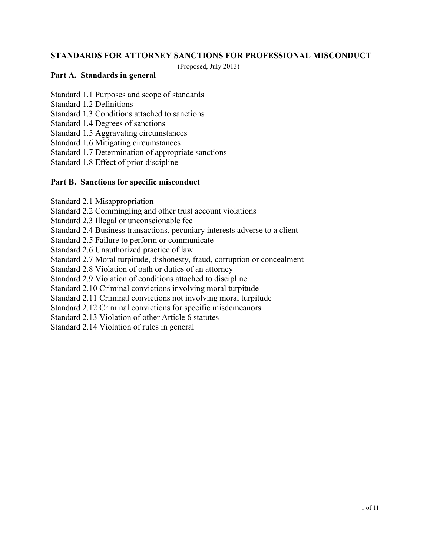### **STANDARDS FOR ATTORNEY SANCTIONS FOR PROFESSIONAL MISCONDUCT**

(Proposed, July 2013)

#### **Part A. Standards in general**

- Standard 1.1 Purposes and scope of standards
- Standard 1.2 Definitions
- Standard 1.3 Conditions attached to sanctions
- Standard 1.4 Degrees of sanctions
- Standard 1.5 Aggravating circumstances
- Standard 1.6 Mitigating circumstances
- Standard 1.7 Determination of appropriate sanctions
- Standard 1.8 Effect of prior discipline

#### **Part B. Sanctions for specific misconduct**

- Standard 2.1 Misappropriation
- Standard 2.2 Commingling and other trust account violations
- Standard 2.3 Illegal or unconscionable fee
- Standard 2.4 Business transactions, pecuniary interests adverse to a client
- Standard 2.5 Failure to perform or communicate
- Standard 2.6 Unauthorized practice of law
- Standard 2.7 Moral turpitude, dishonesty, fraud, corruption or concealment
- Standard 2.8 Violation of oath or duties of an attorney
- Standard 2.9 Violation of conditions attached to discipline
- Standard 2.10 Criminal convictions involving moral turpitude
- Standard 2.11 Criminal convictions not involving moral turpitude
- Standard 2.12 Criminal convictions for specific misdemeanors
- Standard 2.13 Violation of other Article 6 statutes
- Standard 2.14 Violation of rules in general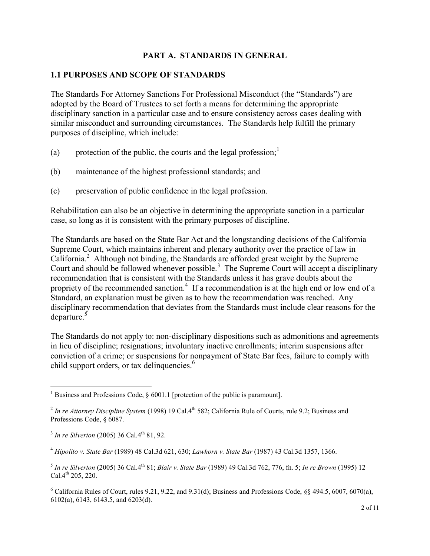### **PART A. STANDARDS IN GENERAL**

#### **1.1 PURPOSES AND SCOPE OF STANDARDS**

The Standards For Attorney Sanctions For Professional Misconduct (the "Standards") are adopted by the Board of Trustees to set forth a means for determining the appropriate disciplinary sanction in a particular case and to ensure consistency across cases dealing with similar misconduct and surrounding circumstances. The Standards help fulfill the primary purposes of discipline, which include:

- (a) protection of the public, the courts and the legal profession;<sup>[1](#page-1-0)</sup>
- (b) maintenance of the highest professional standards; and
- (c) preservation of public confidence in the legal profession.

Rehabilitation can also be an objective in determining the appropriate sanction in a particular case, so long as it is consistent with the primary purposes of discipline.

The Standards are based on the State Bar Act and the longstanding decisions of the California Supreme Court, which maintains inherent and plenary authority over the practice of law in California.<sup>[2](#page-1-1)</sup> Although not binding, the Standards are afforded great weight by the Supreme Court and should be followed whenever possible.<sup>[3](#page-1-2)</sup> The Supreme Court will accept a disciplinary recommendation that is consistent with the Standards unless it has grave doubts about the proprietyof the recommended sanction.<sup>4</sup> If a recommendation is at the high end or low end of a Standard, an explanation must be given as to how the recommendation was reached. Any disciplinary recommendation that deviates from the Standards must include clear reasons for the departure.<sup>[5](#page-1-4)</sup>

The Standards do not apply to: non-disciplinary dispositions such as admonitions and agreements in lieu of discipline; resignations; involuntary inactive enrollments; interim suspensions after conviction of a crime; or suspensions for nonpayment of State Bar fees, failure to comply with child support orders, or tax delinquencies.<sup>[6](#page-1-5)</sup>

<span id="page-1-0"></span><sup>&</sup>lt;sup>1</sup> Business and Professions Code,  $\S$  6001.1 [protection of the public is paramount].

<span id="page-1-1"></span><sup>&</sup>lt;sup>2</sup> In re Attorney Discipline System (1998) 19 Cal.4<sup>th</sup> 582; California Rule of Courts, rule 9.2; Business and Professions Code, § 6087.

<span id="page-1-2"></span><sup>&</sup>lt;sup>3</sup> In re Silverton (2005) 36 Cal.4<sup>th</sup> 81, 92.

<span id="page-1-3"></span><sup>4</sup> *Hipolito v. State Bar* (1989) 48 Cal.3d 621, 630; *Lawhorn v. State Bar* (1987) 43 Cal.3d 1357, 1366.

<span id="page-1-4"></span><sup>5</sup> *In re Silverton* (2005) 36 Cal.4th 81; *Blair v. State Bar* (1989) 49 Cal.3d 762, 776, fn. 5; *In re Brown* (1995) 12 Cal. $4^{th}$  205, 220.

<span id="page-1-5"></span> $6$  California Rules of Court, rules 9.21, 9.22, and 9.31(d); Business and Professions Code,  $88$  494.5, 6007, 6070(a), 6102(a), 6143, 6143.5, and 6203(d).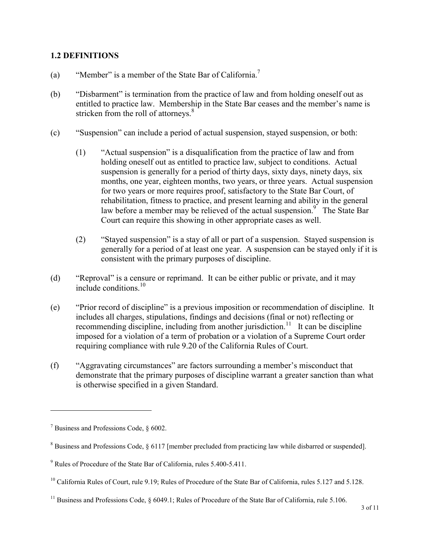### **1.2 DEFINITIONS**

- (a) "Member" is a member of the State Bar of California.<sup>[7](#page-2-0)</sup>
- (b) "Disbarment" is termination from the practice of law and from holding oneself out as entitled to practice law. Membership in the State Bar ceases and the member's name is stricken from the roll of attorneys. $8$
- (c) "Suspension" can include a period of actual suspension, stayed suspension, or both:
	- (1) "Actual suspension" is a disqualification from the practice of law and from holding oneself out as entitled to practice law, subject to conditions. Actual suspension is generally for a period of thirty days, sixty days, ninety days, six months, one year, eighteen months, two years, or three years. Actual suspension for two years or more requires proof, satisfactory to the State Bar Court, of rehabilitation, fitness to practice, and present learning and ability in the general law before a member may be relieved of the actual suspension. $\frac{9}{9}$  $\frac{9}{9}$  $\frac{9}{9}$  The State Bar Court can require this showing in other appropriate cases as well.
	- (2) "Stayed suspension" is a stay of all or part of a suspension. Stayed suspension is generally for a period of at least one year. A suspension can be stayed only if it is consistent with the primary purposes of discipline.
- (d) "Reproval" is a censure or reprimand. It can be either public or private, and it may include conditions  $10$
- (e) "Prior record of discipline" is a previous imposition or recommendation of discipline. It includes all charges, stipulations, findings and decisions (final or not) reflecting or recommending discipline, including from another jurisdiction.<sup>[11](#page-2-4)</sup> It can be discipline imposed for a violation of a term of probation or a violation of a Supreme Court order requiring compliance with rule 9.20 of the California Rules of Court.
- (f) "Aggravating circumstances" are factors surrounding a member's misconduct that demonstrate that the primary purposes of discipline warrant a greater sanction than what is otherwise specified in a given Standard.

<span id="page-2-0"></span><sup>7</sup> Business and Professions Code, § 6002.

<span id="page-2-2"></span><span id="page-2-1"></span><sup>&</sup>lt;sup>8</sup> Business and Professions Code, § 6117 [member precluded from practicing law while disbarred or suspended].

<sup>9</sup> Rules of Procedure of the State Bar of California, rules 5.400-5.411.

<span id="page-2-4"></span><span id="page-2-3"></span><sup>&</sup>lt;sup>10</sup> California Rules of Court, rule 9.19; Rules of Procedure of the State Bar of California, rules 5.127 and 5.128.

<sup>&</sup>lt;sup>11</sup> Business and Professions Code, § 6049.1; Rules of Procedure of the State Bar of California, rule 5.106.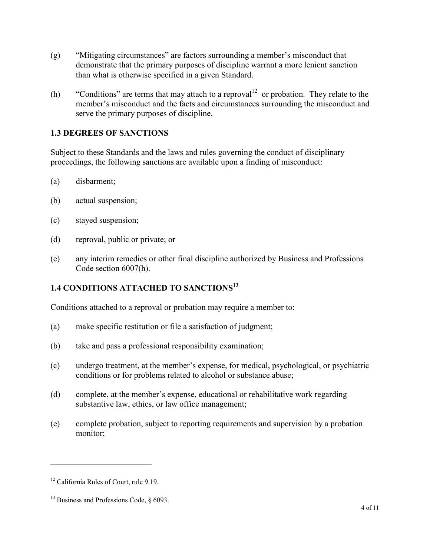- (g) "Mitigating circumstances" are factors surrounding a member's misconduct that demonstrate that the primary purposes of discipline warrant a more lenient sanction than what is otherwise specified in a given Standard.
- (h) "Conditions" are terms that may attach to a reproval  $12$  or probation. They relate to the member's misconduct and the facts and circumstances surrounding the misconduct and serve the primary purposes of discipline.

### **1.3 DEGREES OF SANCTIONS**

Subject to these Standards and the laws and rules governing the conduct of disciplinary proceedings, the following sanctions are available upon a finding of misconduct:

- (a) disbarment;
- (b) actual suspension;
- (c) stayed suspension;
- (d) reproval, public or private; or
- (e) any interim remedies or other final discipline authorized by Business and Professions Code section 6007(h).

# **1.4 CONDITIONS ATTACHED TO SANCTIONS[13](#page-3-1)**

Conditions attached to a reproval or probation may require a member to:

- (a) make specific restitution or file a satisfaction of judgment;
- (b) take and pass a professional responsibility examination;
- (c) undergo treatment, at the member's expense, for medical, psychological, or psychiatric conditions or for problems related to alcohol or substance abuse;
- (d) complete, at the member's expense, educational or rehabilitative work regarding substantive law, ethics, or law office management;
- (e) complete probation, subject to reporting requirements and supervision by a probation monitor;

<span id="page-3-1"></span><span id="page-3-0"></span><sup>&</sup>lt;sup>12</sup> California Rules of Court, rule 9.19.

<sup>&</sup>lt;sup>13</sup> Business and Professions Code,  $\delta$  6093.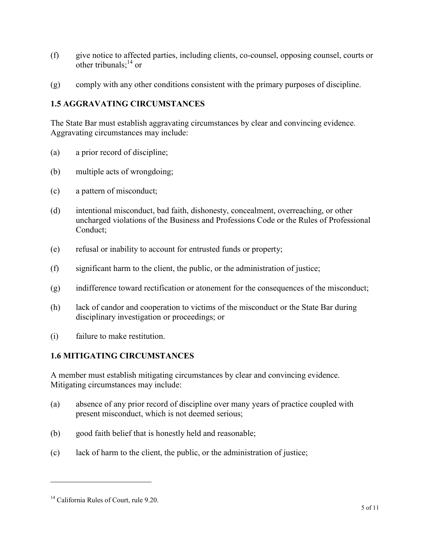- (f) give notice to affected parties, including clients, co-counsel, opposing counsel, courts or other tribunals; $^{14}$  $^{14}$  $^{14}$  or
- (g) comply with any other conditions consistent with the primary purposes of discipline.

### **1.5 AGGRAVATING CIRCUMSTANCES**

The State Bar must establish aggravating circumstances by clear and convincing evidence. Aggravating circumstances may include:

- (a) a prior record of discipline;
- (b) multiple acts of wrongdoing;
- (c) a pattern of misconduct;
- (d) intentional misconduct, bad faith, dishonesty, concealment, overreaching, or other uncharged violations of the Business and Professions Code or the Rules of Professional Conduct;
- (e) refusal or inability to account for entrusted funds or property;
- (f) significant harm to the client, the public, or the administration of justice;
- (g) indifference toward rectification or atonement for the consequences of the misconduct;
- (h) lack of candor and cooperation to victims of the misconduct or the State Bar during disciplinary investigation or proceedings; or
- (i) failure to make restitution.

### **1.6 MITIGATING CIRCUMSTANCES**

A member must establish mitigating circumstances by clear and convincing evidence. Mitigating circumstances may include:

- (a) absence of any prior record of discipline over many years of practice coupled with present misconduct, which is not deemed serious;
- (b) good faith belief that is honestly held and reasonable;
- (c) lack of harm to the client, the public, or the administration of justice;

<span id="page-4-0"></span><sup>&</sup>lt;sup>14</sup> California Rules of Court, rule 9.20.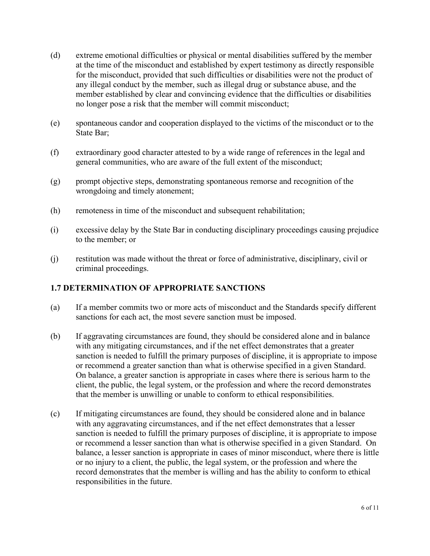- (d) extreme emotional difficulties or physical or mental disabilities suffered by the member at the time of the misconduct and established by expert testimony as directly responsible for the misconduct, provided that such difficulties or disabilities were not the product of any illegal conduct by the member, such as illegal drug or substance abuse, and the member established by clear and convincing evidence that the difficulties or disabilities no longer pose a risk that the member will commit misconduct;
- (e) spontaneous candor and cooperation displayed to the victims of the misconduct or to the State Bar;
- (f) extraordinary good character attested to by a wide range of references in the legal and general communities, who are aware of the full extent of the misconduct;
- (g) prompt objective steps, demonstrating spontaneous remorse and recognition of the wrongdoing and timely atonement;
- (h) remoteness in time of the misconduct and subsequent rehabilitation;
- (i) excessive delay by the State Bar in conducting disciplinary proceedings causing prejudice to the member; or
- (j) restitution was made without the threat or force of administrative, disciplinary, civil or criminal proceedings.

### **1.7 DETERMINATION OF APPROPRIATE SANCTIONS**

- (a) If a member commits two or more acts of misconduct and the Standards specify different sanctions for each act, the most severe sanction must be imposed.
- (b) If aggravating circumstances are found, they should be considered alone and in balance with any mitigating circumstances, and if the net effect demonstrates that a greater sanction is needed to fulfill the primary purposes of discipline, it is appropriate to impose or recommend a greater sanction than what is otherwise specified in a given Standard. On balance, a greater sanction is appropriate in cases where there is serious harm to the client, the public, the legal system, or the profession and where the record demonstrates that the member is unwilling or unable to conform to ethical responsibilities.
- (c) If mitigating circumstances are found, they should be considered alone and in balance with any aggravating circumstances, and if the net effect demonstrates that a lesser sanction is needed to fulfill the primary purposes of discipline, it is appropriate to impose or recommend a lesser sanction than what is otherwise specified in a given Standard. On balance, a lesser sanction is appropriate in cases of minor misconduct, where there is little or no injury to a client, the public, the legal system, or the profession and where the record demonstrates that the member is willing and has the ability to conform to ethical responsibilities in the future.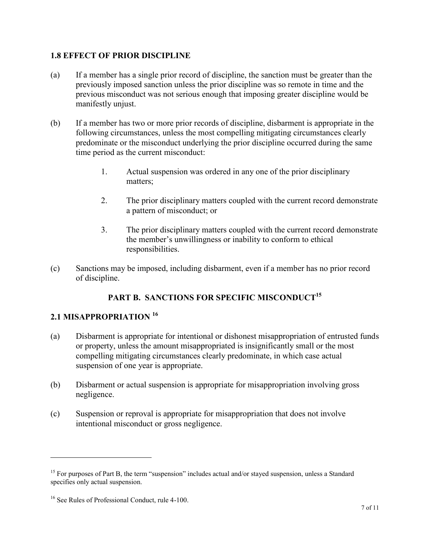### **1.8 EFFECT OF PRIOR DISCIPLINE**

- (a) If a member has a single prior record of discipline, the sanction must be greater than the previously imposed sanction unless the prior discipline was so remote in time and the previous misconduct was not serious enough that imposing greater discipline would be manifestly unjust.
- (b) If a member has two or more prior records of discipline, disbarment is appropriate in the following circumstances, unless the most compelling mitigating circumstances clearly predominate or the misconduct underlying the prior discipline occurred during the same time period as the current misconduct:
	- 1. Actual suspension was ordered in any one of the prior disciplinary matters;
	- 2. The prior disciplinary matters coupled with the current record demonstrate a pattern of misconduct; or
	- 3. The prior disciplinary matters coupled with the current record demonstrate the member's unwillingness or inability to conform to ethical responsibilities.
- (c) Sanctions may be imposed, including disbarment, even if a member has no prior record of discipline.

## **PART B. SANCTIONS FOR SPECIFIC MISCONDUCT [15](#page-6-0)**

## **2.1 MISAPPROPRIATION [16](#page-6-1)**

- (a) Disbarment is appropriate for intentional or dishonest misappropriation of entrusted funds or property, unless the amount misappropriated is insignificantly small or the most compelling mitigating circumstances clearly predominate, in which case actual suspension of one year is appropriate.
- (b) Disbarment or actual suspension is appropriate for misappropriation involving gross negligence.
- (c) Suspension or reproval is appropriate for misappropriation that does not involve intentional misconduct or gross negligence.

<span id="page-6-0"></span><sup>&</sup>lt;sup>15</sup> For purposes of Part B, the term "suspension" includes actual and/or stayed suspension, unless a Standard specifies only actual suspension.

<span id="page-6-1"></span><sup>&</sup>lt;sup>16</sup> See Rules of Professional Conduct, rule 4-100.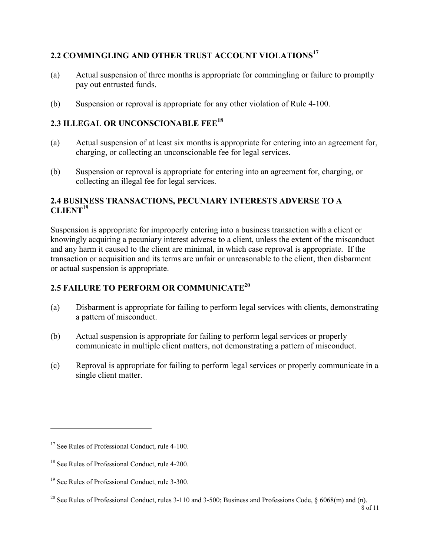## **2.2 COMMINGLING AND OTHER TRUST ACCOUNT VIOLATIONS [17](#page-7-0)**

- (a) Actual suspension of three months is appropriate for commingling or failure to promptly pay out entrusted funds.
- (b) Suspension or reproval is appropriate for any other violation of Rule 4-100.

# **2.3 ILLEGAL OR UNCONSCIONABLE FEE[18](#page-7-1)**

- (a) Actual suspension of at least six months is appropriate for entering into an agreement for, charging, or collecting an unconscionable fee for legal services.
- (b) Suspension or reproval is appropriate for entering into an agreement for, charging, or collecting an illegal fee for legal services.

### **2.4 BUSINESS TRANSACTIONS, PECUNIARY INTERESTS ADVERSE TO A**   $CLIENT<sup>19</sup>$  $CLIENT<sup>19</sup>$  $CLIENT<sup>19</sup>$

Suspension is appropriate for improperly entering into a business transaction with a client or knowingly acquiring a pecuniary interest adverse to a client, unless the extent of the misconduct and any harm it caused to the client are minimal, in which case reproval is appropriate. If the transaction or acquisition and its terms are unfair or unreasonable to the client, then disbarment or actual suspension is appropriate.

## **2.5 FAILURE TO PERFORM OR COMMUNICATE[20](#page-7-3)**

- (a) Disbarment is appropriate for failing to perform legal services with clients, demonstrating a pattern of misconduct.
- (b) Actual suspension is appropriate for failing to perform legal services or properly communicate in multiple client matters, not demonstrating a pattern of misconduct.
- (c) Reproval is appropriate for failing to perform legal services or properly communicate in a single client matter.

<span id="page-7-0"></span><sup>&</sup>lt;sup>17</sup> See Rules of Professional Conduct, rule 4-100.

<span id="page-7-2"></span><span id="page-7-1"></span><sup>&</sup>lt;sup>18</sup> See Rules of Professional Conduct, rule 4-200.

<span id="page-7-3"></span><sup>&</sup>lt;sup>19</sup> See Rules of Professional Conduct, rule 3-300.

<sup>&</sup>lt;sup>20</sup> See Rules of Professional Conduct, rules 3-110 and 3-500; Business and Professions Code,  $\S$  6068(m) and (n).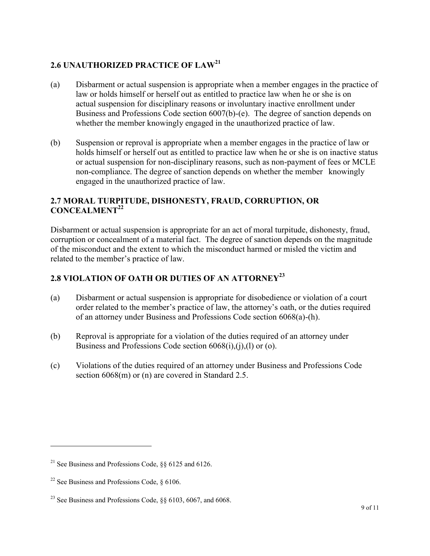## **2.6 UNAUTHORIZED PRACTICE OF LAW [21](#page-8-0)**

- (a) Disbarment or actual suspension is appropriate when a member engages in the practice of law or holds himself or herself out as entitled to practice law when he or she is on actual suspension for disciplinary reasons or involuntary inactive enrollment under Business and Professions Code section 6007(b)-(e). The degree of sanction depends on whether the member knowingly engaged in the unauthorized practice of law.
- (b) Suspension or reproval is appropriate when a member engages in the practice of law or holds himself or herself out as entitled to practice law when he or she is on inactive status or actual suspension for non-disciplinary reasons, such as non-payment of fees or MCLE non-compliance. The degree of sanction depends on whether the member knowingly engaged in the unauthorized practice of law.

### **2.7 MORAL TURPITUDE, DISHONESTY, FRAUD, CORRUPTION, OR CONCEALMENT[22](#page-8-1)**

Disbarment or actual suspension is appropriate for an act of moral turpitude, dishonesty, fraud, corruption or concealment of a material fact. The degree of sanction depends on the magnitude of the misconduct and the extent to which the misconduct harmed or misled the victim and related to the member's practice of law.

## **2.8 VIOLATION OF OATH OR DUTIES OF AN ATTORNE[Y](#page-8-2)<sup>23</sup>**

- (a) Disbarment or actual suspension is appropriate for disobedience or violation of a court order related to the member's practice of law, the attorney's oath, or the duties required of an attorney under Business and Professions Code section 6068(a)-(h).
- (b) Reproval is appropriate for a violation of the duties required of an attorney under Business and Professions Code section 6068(i),(j),(l) or (o).
- (c) Violations of the duties required of an attorney under Business and Professions Code section 6068(m) or (n) are covered in Standard 2.5.

<span id="page-8-1"></span><span id="page-8-0"></span><sup>&</sup>lt;sup>21</sup> See Business and Professions Code,  $\S$ § 6125 and 6126.

<span id="page-8-2"></span><sup>&</sup>lt;sup>22</sup> See Business and Professions Code,  $§$  6106.

<sup>&</sup>lt;sup>23</sup> See Business and Professions Code,  $\S$ § 6103, 6067, and 6068.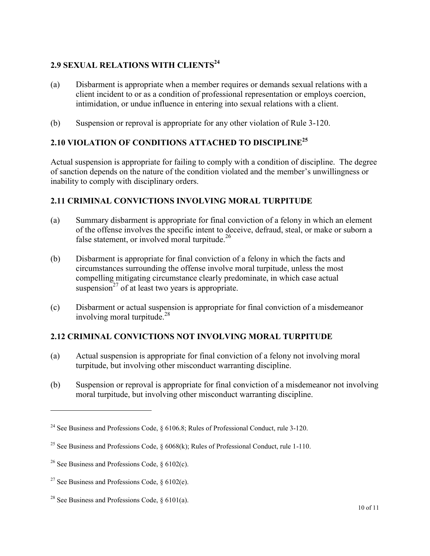## **2.9 SEXUAL RELATIONS WITH CLIENTS [24](#page-9-0)**

- (a) Disbarment is appropriate when a member requires or demands sexual relations with a client incident to or as a condition of professional representation or employs coercion, intimidation, or undue influence in entering into sexual relations with a client.
- (b) Suspension or reproval is appropriate for any other violation of Rule 3-120.

## **2.10 VIOLATION OF CONDITIONS ATTACHED TO DISCIPLINE[25](#page-9-1)**

Actual suspension is appropriate for failing to comply with a condition of discipline. The degree of sanction depends on the nature of the condition violated and the member's unwillingness or inability to comply with disciplinary orders.

### **2.11 CRIMINAL CONVICTIONS INVOLVING MORAL TURPITUDE**

- (a) Summary disbarment is appropriate for final conviction of a felony in which an element of the offense involves the specific intent to deceive, defraud, steal, or make or suborn a false statement, or involved moral turpitude. $^{26}$  $^{26}$  $^{26}$
- (b) Disbarment is appropriate for final conviction of a felony in which the facts and circumstances surrounding the offense involve moral turpitude, unless the most compelling mitigating circumstance clearly predominate, in which case actual suspension<sup>[27](#page-9-3)</sup> of at least two years is appropriate.
- (c) Disbarment or actual suspension is appropriate for final conviction of a misdemeanor involving moral turpitude.<sup>[28](#page-9-4)</sup>

### **2.12 CRIMINAL CONVICTIONS NOT INVOLVING MORAL TURPITUDE**

- (a) Actual suspension is appropriate for final conviction of a felony not involving moral turpitude, but involving other misconduct warranting discipline.
- (b) Suspension or reproval is appropriate for final conviction of a misdemeanor not involving moral turpitude, but involving other misconduct warranting discipline.

<span id="page-9-1"></span><span id="page-9-0"></span><sup>&</sup>lt;sup>24</sup> See Business and Professions Code, § 6106.8; Rules of Professional Conduct, rule 3-120.

<span id="page-9-2"></span><sup>&</sup>lt;sup>25</sup> See Business and Professions Code,  $\S$  6068(k); Rules of Professional Conduct, rule 1-110.

<span id="page-9-3"></span><sup>&</sup>lt;sup>26</sup> See Business and Professions Code,  $§$  6102(c).

<span id="page-9-4"></span><sup>&</sup>lt;sup>27</sup> See Business and Professions Code,  $\S$  6102(e).

<sup>&</sup>lt;sup>28</sup> See Business and Professions Code,  $\delta$  6101(a).